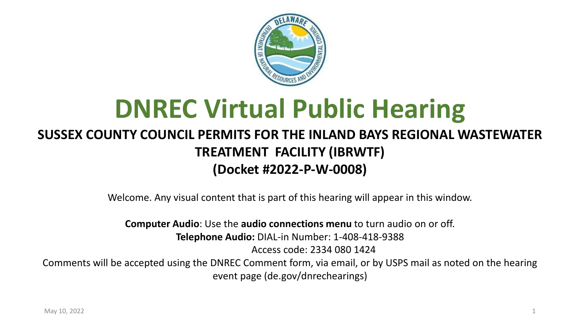

# **DNREC Virtual Public Hearing**

#### **SUSSEX COUNTY COUNCIL PERMITS FOR THE INLAND BAYS REGIONAL WASTEWATER TREATMENT FACILITY (IBRWTF) (Docket #2022-P-W-0008)**

Welcome. Any visual content that is part of this hearing will appear in this window.

**Computer Audio**: Use the **audio connections menu** to turn audio on or off. **Telephone Audio:** DIAL-in Number: 1-408-418-9388

Access code: 2334 080 1424

Comments will be accepted using the DNREC Comment form, via email, or by USPS mail as noted on the hearing event page (de.gov/dnrechearings)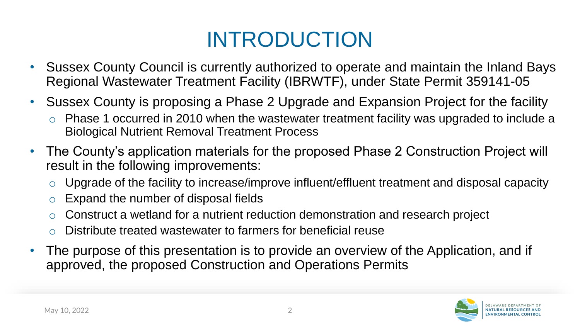#### INTRODUCTION

- Sussex County Council is currently authorized to operate and maintain the Inland Bays Regional Wastewater Treatment Facility (IBRWTF), under State Permit 359141-05
- Sussex County is proposing a Phase 2 Upgrade and Expansion Project for the facility
	- o Phase 1 occurred in 2010 when the wastewater treatment facility was upgraded to include a Biological Nutrient Removal Treatment Process
- The County's application materials for the proposed Phase 2 Construction Project will result in the following improvements:
	- $\circ$  Upgrade of the facility to increase/improve influent/effluent treatment and disposal capacity
	- Expand the number of disposal fields
	- Construct a wetland for a nutrient reduction demonstration and research project
	- Distribute treated wastewater to farmers for beneficial reuse
- The purpose of this presentation is to provide an overview of the Application, and if approved, the proposed Construction and Operations Permits

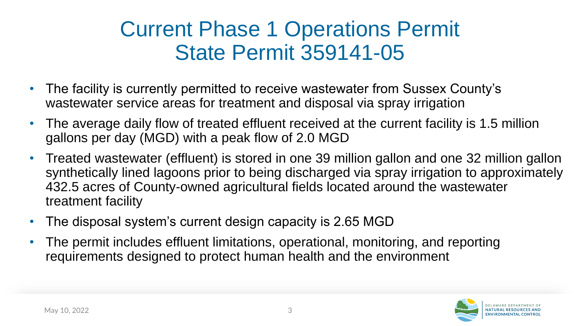#### Current Phase 1 Operations Permit State Permit 359141-05

- The facility is currently permitted to receive wastewater from Sussex County's wastewater service areas for treatment and disposal via spray irrigation
- The average daily flow of treated effluent received at the current facility is 1.5 million gallons per day (MGD) with a peak flow of 2.0 MGD
- Treated wastewater (effluent) is stored in one 39 million gallon and one 32 million gallon synthetically lined lagoons prior to being discharged via spray irrigation to approximately 432.5 acres of County-owned agricultural fields located around the wastewater treatment facility
- The disposal system's current design capacity is 2.65 MGD
- The permit includes effluent limitations, operational, monitoring, and reporting requirements designed to protect human health and the environment

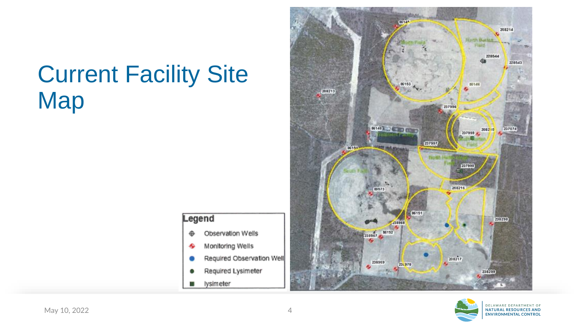#### Current Facility Site **Map**

#### Legend

C

- Observation Wells ۰
- Monitoring Wells ♣
- Required Observation Well
- Required Lysimeter
- lysimeter П



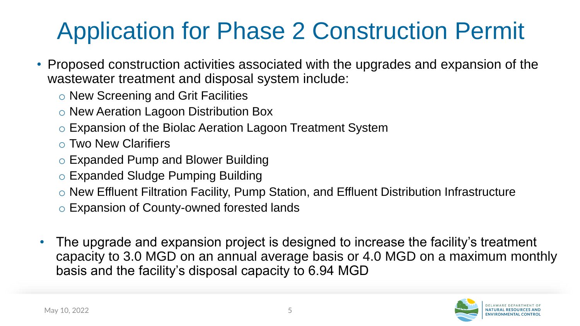## Application for Phase 2 Construction Permit

- Proposed construction activities associated with the upgrades and expansion of the wastewater treatment and disposal system include:
	- o New Screening and Grit Facilities
	- o New Aeration Lagoon Distribution Box
	- o Expansion of the Biolac Aeration Lagoon Treatment System
	- o Two New Clarifiers
	- o Expanded Pump and Blower Building
	- o Expanded Sludge Pumping Building
	- o New Effluent Filtration Facility, Pump Station, and Effluent Distribution Infrastructure
	- o Expansion of County-owned forested lands
- The upgrade and expansion project is designed to increase the facility's treatment capacity to 3.0 MGD on an annual average basis or 4.0 MGD on a maximum monthly basis and the facility's disposal capacity to 6.94 MGD

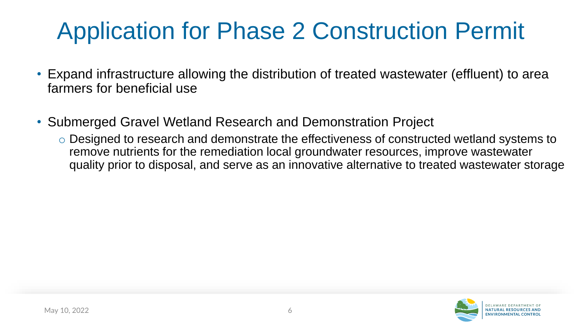## Application for Phase 2 Construction Permit

- Expand infrastructure allowing the distribution of treated wastewater (effluent) to area farmers for beneficial use
- Submerged Gravel Wetland Research and Demonstration Project
	- o Designed to research and demonstrate the effectiveness of constructed wetland systems to remove nutrients for the remediation local groundwater resources, improve wastewater quality prior to disposal, and serve as an innovative alternative to treated wastewater storage

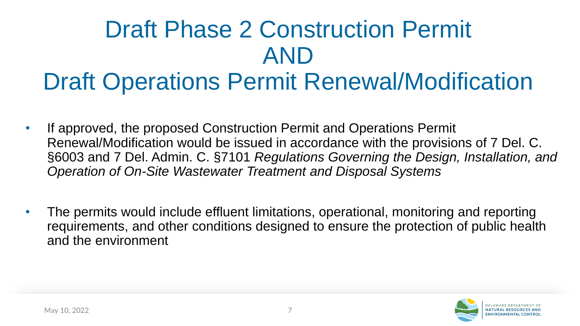# Draft Phase 2 Construction Permit AND

#### Draft Operations Permit Renewal/Modification

- If approved, the proposed Construction Permit and Operations Permit Renewal/Modification would be issued in accordance with the provisions of 7 Del. C. §6003 and 7 Del. Admin. C. §7101 *Regulations Governing the Design, Installation, and Operation of On-Site Wastewater Treatment and Disposal Systems*
- The permits would include effluent limitations, operational, monitoring and reporting requirements, and other conditions designed to ensure the protection of public health and the environment

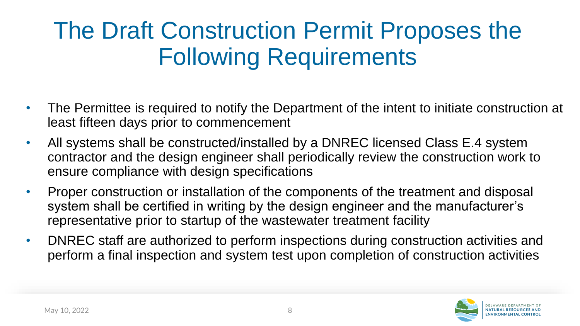### The Draft Construction Permit Proposes the Following Requirements

- The Permittee is required to notify the Department of the intent to initiate construction at least fifteen days prior to commencement
- All systems shall be constructed/installed by a DNREC licensed Class E.4 system contractor and the design engineer shall periodically review the construction work to ensure compliance with design specifications
- Proper construction or installation of the components of the treatment and disposal system shall be certified in writing by the design engineer and the manufacturer's representative prior to startup of the wastewater treatment facility
- DNREC staff are authorized to perform inspections during construction activities and perform a final inspection and system test upon completion of construction activities

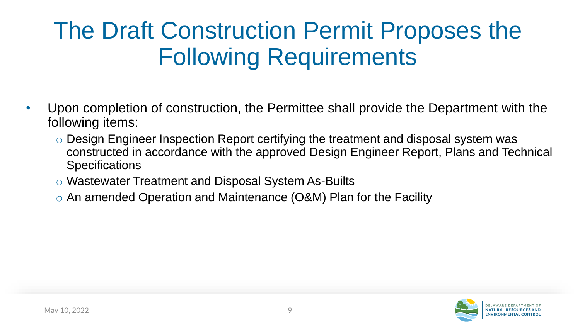### The Draft Construction Permit Proposes the Following Requirements

- Upon completion of construction, the Permittee shall provide the Department with the following items:
	- o Design Engineer Inspection Report certifying the treatment and disposal system was constructed in accordance with the approved Design Engineer Report, Plans and Technical **Specifications**
	- o Wastewater Treatment and Disposal System As-Builts
	- o An amended Operation and Maintenance (O&M) Plan for the Facility

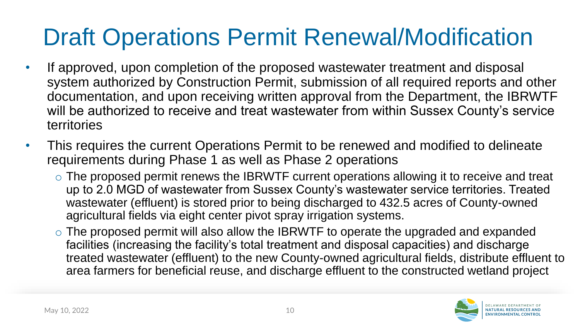### Draft Operations Permit Renewal/Modification

- If approved, upon completion of the proposed wastewater treatment and disposal system authorized by Construction Permit, submission of all required reports and other documentation, and upon receiving written approval from the Department, the IBRWTF will be authorized to receive and treat wastewater from within Sussex County's service territories
- This requires the current Operations Permit to be renewed and modified to delineate requirements during Phase 1 as well as Phase 2 operations
	- o The proposed permit renews the IBRWTF current operations allowing it to receive and treat up to 2.0 MGD of wastewater from Sussex County's wastewater service territories. Treated wastewater (effluent) is stored prior to being discharged to 432.5 acres of County-owned agricultural fields via eight center pivot spray irrigation systems.
	- o The proposed permit will also allow the IBRWTF to operate the upgraded and expanded facilities (increasing the facility's total treatment and disposal capacities) and discharge treated wastewater (effluent) to the new County-owned agricultural fields, distribute effluent to area farmers for beneficial reuse, and discharge effluent to the constructed wetland project

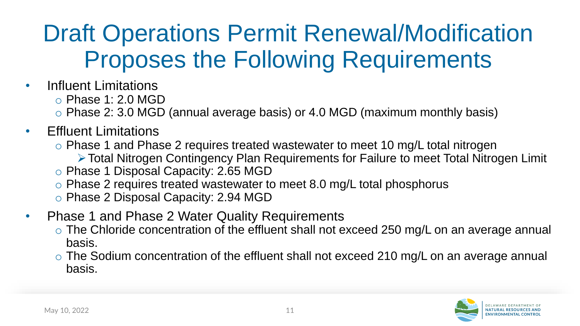#### Draft Operations Permit Renewal/Modification Proposes the Following Requirements

- Influent Limitations
	- o Phase 1: 2.0 MGD
	- o Phase 2: 3.0 MGD (annual average basis) or 4.0 MGD (maximum monthly basis)
- Effluent Limitations
	- o Phase 1 and Phase 2 requires treated wastewater to meet 10 mg/L total nitrogen
		- ➢Total Nitrogen Contingency Plan Requirements for Failure to meet Total Nitrogen Limit
	- o Phase 1 Disposal Capacity: 2.65 MGD
	- o Phase 2 requires treated wastewater to meet 8.0 mg/L total phosphorus
	- o Phase 2 Disposal Capacity: 2.94 MGD
- Phase 1 and Phase 2 Water Quality Requirements
	- $\circ$  The Chloride concentration of the effluent shall not exceed 250 mg/L on an average annual basis.
	- o The Sodium concentration of the effluent shall not exceed 210 mg/L on an average annual basis.

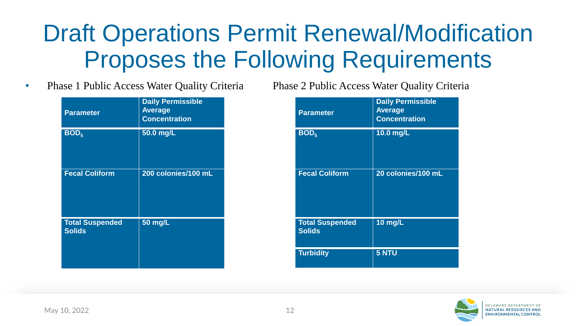#### Draft Operations Permit Renewal/Modification Proposes the Following Requirements

• Phase 1 Public Access Water Quality Criteria Phase 2 Public Access Water Quality Criteria

| <b>Parameter</b>                        | <b>Daily Permissible</b><br><b>Average</b><br><b>Concentration</b> |
|-----------------------------------------|--------------------------------------------------------------------|
| BOD <sub>5</sub>                        | 50.0 mg/L                                                          |
| <b>Fecal Coliform</b>                   | 200 colonies/100 mL                                                |
| <b>Total Suspended</b><br><b>Solids</b> | 50 mg/L                                                            |

| <b>Parameter</b>                        | <b>Daily Permissible</b><br><b>Average</b><br><b>Concentration</b> |
|-----------------------------------------|--------------------------------------------------------------------|
| BOD <sub>5</sub>                        | 10.0 mg/L                                                          |
| <b>Fecal Coliform</b>                   | 20 colonies/100 mL                                                 |
| <b>Total Suspended</b><br><b>Solids</b> | <b>10 mg/L</b>                                                     |
| <b>Turbidity</b>                        | <b>5 NTU</b>                                                       |

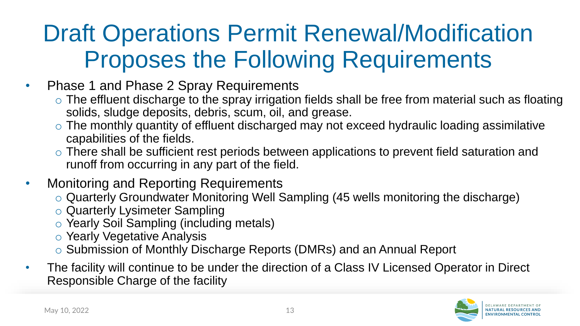#### Draft Operations Permit Renewal/Modification Proposes the Following Requirements

- Phase 1 and Phase 2 Spray Requirements
	- $\circ$  The effluent discharge to the spray irrigation fields shall be free from material such as floating solids, sludge deposits, debris, scum, oil, and grease.
	- o The monthly quantity of effluent discharged may not exceed hydraulic loading assimilative capabilities of the fields.
	- $\circ$  There shall be sufficient rest periods between applications to prevent field saturation and runoff from occurring in any part of the field.
- Monitoring and Reporting Requirements
	- o Quarterly Groundwater Monitoring Well Sampling (45 wells monitoring the discharge)
	- o Quarterly Lysimeter Sampling
	- o Yearly Soil Sampling (including metals)
	- o Yearly Vegetative Analysis
	- o Submission of Monthly Discharge Reports (DMRs) and an Annual Report
- The facility will continue to be under the direction of a Class IV Licensed Operator in Direct Responsible Charge of the facility

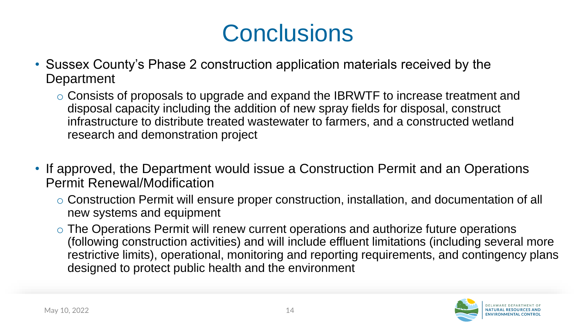#### **Conclusions**

- Sussex County's Phase 2 construction application materials received by the **Department** 
	- o Consists of proposals to upgrade and expand the IBRWTF to increase treatment and disposal capacity including the addition of new spray fields for disposal, construct infrastructure to distribute treated wastewater to farmers, and a constructed wetland research and demonstration project
- If approved, the Department would issue a Construction Permit and an Operations Permit Renewal/Modification
	- o Construction Permit will ensure proper construction, installation, and documentation of all new systems and equipment
	- o The Operations Permit will renew current operations and authorize future operations (following construction activities) and will include effluent limitations (including several more restrictive limits), operational, monitoring and reporting requirements, and contingency plans designed to protect public health and the environment

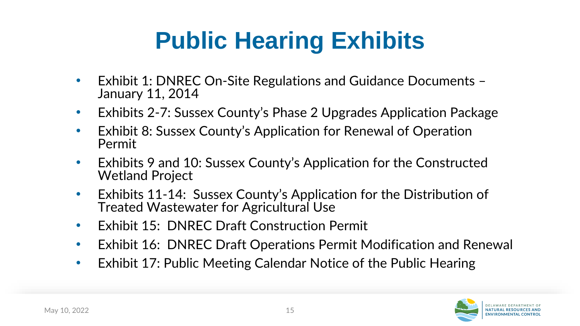## **Public Hearing Exhibits**

- Exhibit 1: DNREC On-Site Regulations and Guidance Documents January 11, 2014
- Exhibits 2-7: Sussex County's Phase 2 Upgrades Application Package
- Exhibit 8: Sussex County's Application for Renewal of Operation Permit
- Exhibits 9 and 10: Sussex County's Application for the Constructed Wetland Project
- Exhibits 11-14: Sussex County's Application for the Distribution of Treated Wastewater for Agricultural Use
- Exhibit 15: DNREC Draft Construction Permit
- Exhibit 16: DNREC Draft Operations Permit Modification and Renewal
- Exhibit 17: Public Meeting Calendar Notice of the Public Hearing

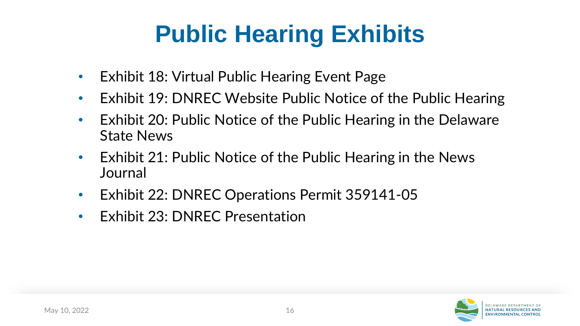## **Public Hearing Exhibits**

- Exhibit 18: Virtual Public Hearing Event Page
- Exhibit 19: DNREC Website Public Notice of the Public Hearing
- Exhibit 20: Public Notice of the Public Hearing in the Delaware State News
- Exhibit 21: Public Notice of the Public Hearing in the News **Journal**
- Exhibit 22: DNREC Operations Permit 359141-05
- Exhibit 23: DNREC Presentation